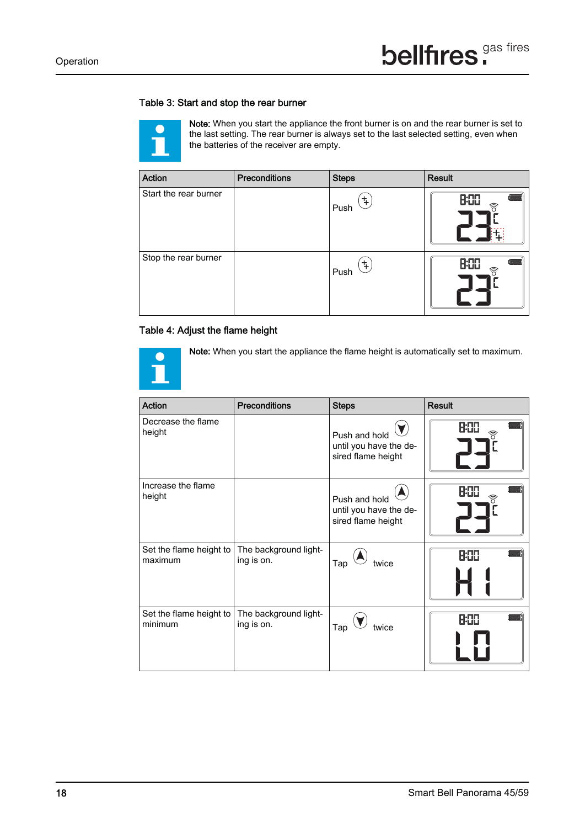## Table 3: Start and stop the rear burner



Note: When you start the appliance the front burner is on and the rear burner is set to the last setting. The rear burner is always set to the last selected setting, even when the batteries of the receiver are empty.

| <b>Action</b>         | <b>Preconditions</b> | <b>Steps</b> | <b>Result</b>                               |
|-----------------------|----------------------|--------------|---------------------------------------------|
| Start the rear burner |                      | ች<br>Push    | <b>B:00</b><br>ີ້ ຄື                        |
| Stop the rear burner  |                      | 4<br>Push    | <b>H:TH</b><br>$\widehat{\widehat{\delta}}$ |

## Table 4: Adjust the flame height



Note: When you start the appliance the flame height is automatically set to maximum.

| <b>Action</b>                      | <b>Preconditions</b>                | <b>Steps</b>                                                  | <b>Result</b>                               |
|------------------------------------|-------------------------------------|---------------------------------------------------------------|---------------------------------------------|
| Decrease the flame<br>height       |                                     | Push and hold<br>until you have the de-<br>sired flame height | <b>H:11</b><br>$\widehat{\widehat{\circ}}$  |
| Increase the flame<br>height       |                                     | Push and hold<br>until you have the de-<br>sired flame height | <b>H:111</b><br>$\widehat{\widehat{\circ}}$ |
| Set the flame height to<br>maximum | The background light-<br>ing is on. | Tap<br>twice                                                  | <b>H:TH</b>                                 |
| Set the flame height to<br>minimum | The background light-<br>ing is on. | Tap<br>twice                                                  | <b>H:HH</b>                                 |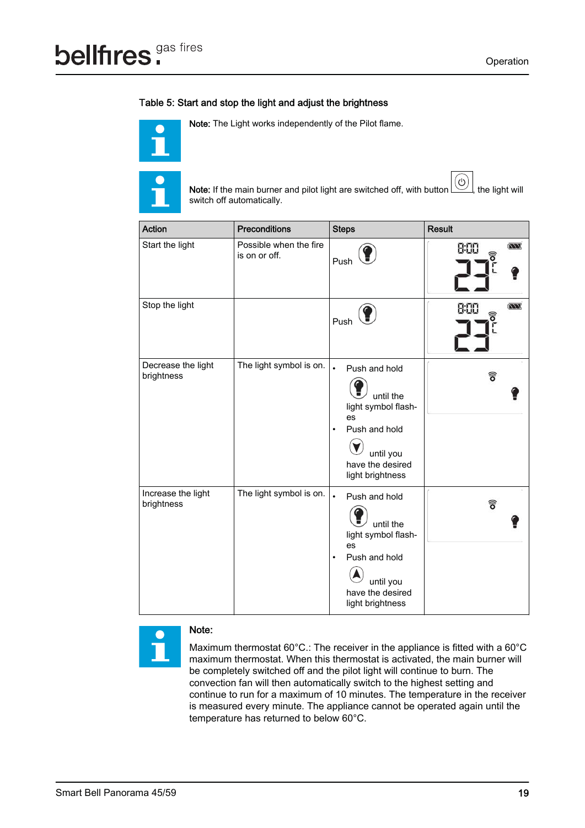## Table 5: Start and stop the light and adjust the brightness



Note: The Light works independently of the Pilot flame.



Note: If the main burner and pilot light are switched off, with button  $(\bigcirc)$ , the light will switch off automatically.

| Action                           | <b>Preconditions</b>                    | <b>Steps</b>                                                                                                                                            | <b>Result</b>                 |
|----------------------------------|-----------------------------------------|---------------------------------------------------------------------------------------------------------------------------------------------------------|-------------------------------|
| Start the light                  | Possible when the fire<br>is on or off. | Push                                                                                                                                                    | $\overline{a}$<br>8:00<br>์อิ |
| Stop the light                   |                                         | Push                                                                                                                                                    | $\overline{M}$<br>8:00<br>్   |
| Decrease the light<br>brightness | The light symbol is on.                 | $\bullet$<br>Push and hold<br>until the<br>light symbol flash-<br>es<br>Push and hold<br>$\bullet$<br>until you<br>have the desired<br>light brightness | ฮิ                            |
| Increase the light<br>brightness | The light symbol is on.                 | Push and hold<br>$\bullet$<br>until the<br>light symbol flash-<br>es<br>Push and hold<br>$\bullet$<br>until you<br>have the desired<br>light brightness | อิ                            |

## Note:

 $\bigodot$ 

Maximum thermostat 60°C.: The receiver in the appliance is fitted with a 60°C maximum thermostat. When this thermostat is activated, the main burner will be completely switched off and the pilot light will continue to burn. The convection fan will then automatically switch to the highest setting and continue to run for a maximum of 10 minutes. The temperature in the receiver is measured every minute. The appliance cannot be operated again until the temperature has returned to below 60°C.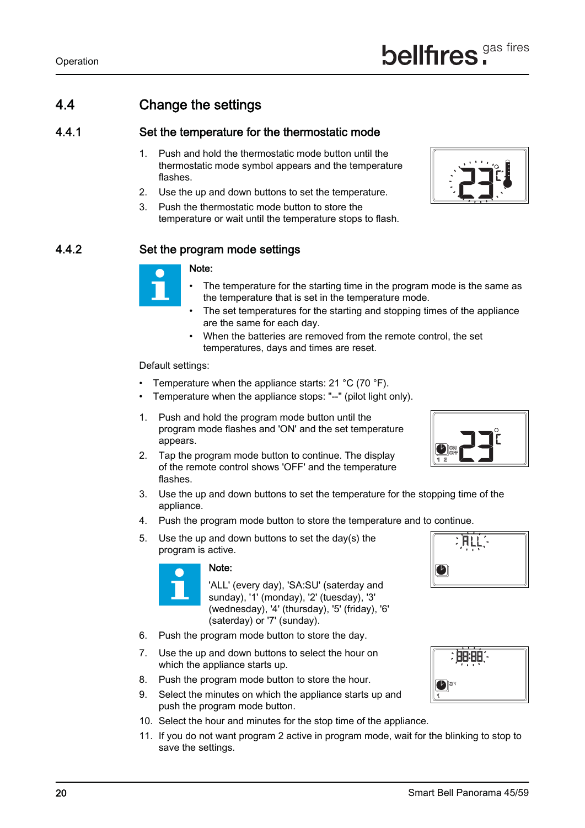

## 4.4 Change the settings

## 4.4.1 Set the temperature for the thermostatic mode

- 1. Push and hold the thermostatic mode button until the thermostatic mode symbol appears and the temperature flashes.
- 2. Use the up and down buttons to set the temperature.
- 3. Push the thermostatic mode button to store the temperature or wait until the temperature stops to flash.

## 4.4.2 Set the program mode settings

#### Note:

- The temperature for the starting time in the program mode is the same as the temperature that is set in the temperature mode.
- The set temperatures for the starting and stopping times of the appliance are the same for each day.
- When the batteries are removed from the remote control, the set temperatures, days and times are reset.

- Temperature when the appliance starts:  $21 \degree C$  (70  $\degree F$ ).
- Temperature when the appliance stops: "--" (pilot light only).
- 1. Push and hold the program mode button until the program mode flashes and 'ON' and the set temperature appears.
- 2. Tap the program mode button to continue. The display of the remote control shows 'OFF' and the temperature flashes.
- 3. Use the up and down buttons to set the temperature for the stopping time of the appliance.
- 4. Push the program mode button to store the temperature and to continue.
- 5. Use the up and down buttons to set the day(s) the program is active.



Default settings:

### Note:

'ALL' (every day), 'SA:SU' (saterday and sunday), '1' (monday), '2' (tuesday), '3' (wednesday), '4' (thursday), '5' (friday), '6' (saterday) or '7' (sunday).



- 
- 6. Push the program mode button to store the day.
- 7. Use the up and down buttons to select the hour on which the appliance starts up.
- 8. Push the program mode button to store the hour.
- 9. Select the minutes on which the appliance starts up and push the program mode button.

- 10. Select the hour and minutes for the stop time of the appliance.
- 11. If you do not want program 2 active in program mode, wait for the blinking to stop to save the settings.





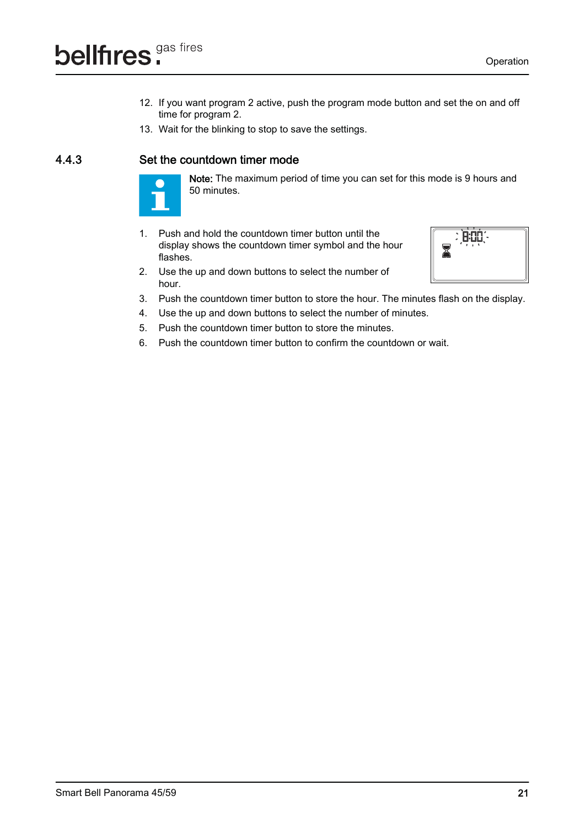- 12. If you want program 2 active, push the program mode button and set the on and off time for program 2.
- 13. Wait for the blinking to stop to save the settings.

## 4.4.3 Set the countdown timer mode



- Note: The maximum period of time you can set for this mode is 9 hours and 50 minutes.
- 1. Push and hold the countdown timer button until the display shows the countdown timer symbol and the hour flashes.



- 2. Use the up and down buttons to select the number of hour.
- 3. Push the countdown timer button to store the hour. The minutes flash on the display.
- 4. Use the up and down buttons to select the number of minutes.
- 5. Push the countdown timer button to store the minutes.
- 6. Push the countdown timer button to confirm the countdown or wait.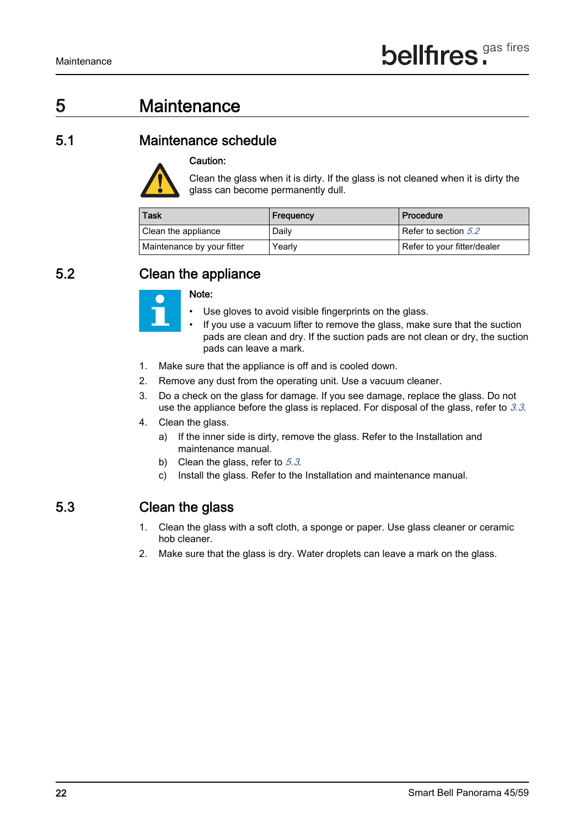# 5 Maintenance

## 5.1 Maintenance schedule



Caution:

Clean the glass when it is dirty. If the glass is not cleaned when it is dirty the glass can become permanently dull.

| <b>Task</b>                | Frequency | Procedure                   |
|----------------------------|-----------|-----------------------------|
| Clean the appliance        | Daily     | Refer to section 5.2        |
| Maintenance by your fitter | Yearly    | Refer to your fitter/dealer |

## 5.2 Clean the appliance



#### Note:

- Use gloves to avoid visible fingerprints on the glass.
- If you use a vacuum lifter to remove the glass, make sure that the suction pads are clean and dry. If the suction pads are not clean or dry, the suction pads can leave a mark.
- 1. Make sure that the appliance is off and is cooled down.
- 2. Remove any dust from the operating unit. Use a vacuum cleaner.
- 3. Do a check on the glass for damage. If you see damage, replace the glass. Do not use the appliance before the glass is replaced. For disposal of the glass, refer to  $3.3$ .
- 4. Clean the glass.
	- a) If the inner side is dirty, remove the glass. Refer to the Installation and maintenance manual.
	- b) Clean the glass, refer to  $5.3$ .
	- c) Install the glass. Refer to the Installation and maintenance manual.

## 5.3 Clean the glass

- 1. Clean the glass with a soft cloth, a sponge or paper. Use glass cleaner or ceramic hob cleaner.
- 2. Make sure that the glass is dry. Water droplets can leave a mark on the glass.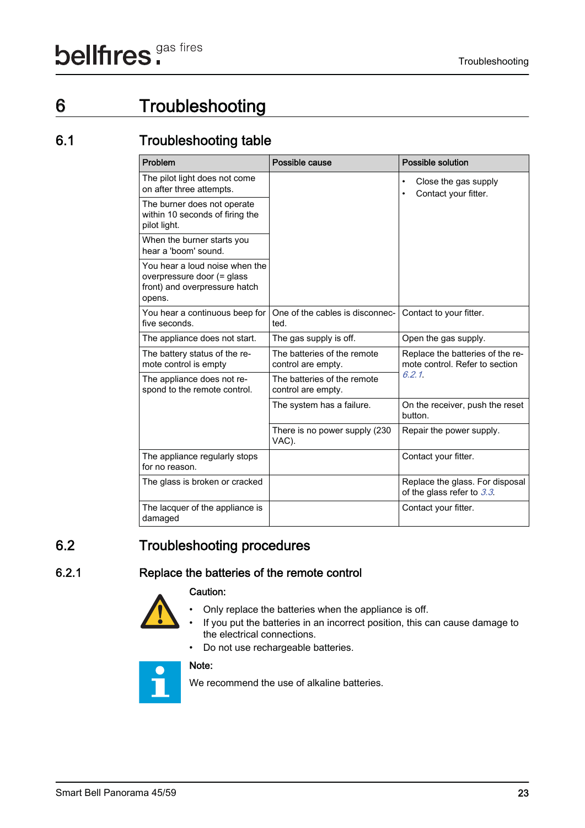# 6 Troubleshooting

## 6.1 Troubleshooting table

| Problem                                                                                                 | Possible cause                                    | <b>Possible solution</b>                                           |
|---------------------------------------------------------------------------------------------------------|---------------------------------------------------|--------------------------------------------------------------------|
| The pilot light does not come<br>on after three attempts.                                               |                                                   | Close the gas supply<br>Contact your fitter.                       |
| The burner does not operate<br>within 10 seconds of firing the<br>pilot light.                          |                                                   |                                                                    |
| When the burner starts you<br>hear a 'boom' sound.                                                      |                                                   |                                                                    |
| You hear a loud noise when the<br>overpressure door (= glass<br>front) and overpressure hatch<br>opens. |                                                   |                                                                    |
| You hear a continuous beep for<br>five seconds.                                                         | One of the cables is disconnec-<br>ted.           | Contact to your fitter.                                            |
| The appliance does not start.                                                                           | The gas supply is off.                            | Open the gas supply.                                               |
| The battery status of the re-<br>mote control is empty                                                  | The batteries of the remote<br>control are empty. | Replace the batteries of the re-<br>mote control. Refer to section |
| The appliance does not re-<br>spond to the remote control.                                              | The batteries of the remote<br>control are empty. | 6.2.1                                                              |
|                                                                                                         | The system has a failure.                         | On the receiver, push the reset<br>button.                         |
|                                                                                                         | There is no power supply (230<br>VAC).            | Repair the power supply.                                           |
| The appliance regularly stops<br>for no reason.                                                         |                                                   | Contact your fitter.                                               |
| The glass is broken or cracked                                                                          |                                                   | Replace the glass. For disposal<br>of the glass refer to 3.3.      |
| The lacquer of the appliance is<br>damaged                                                              |                                                   | Contact your fitter.                                               |

## 6.2 Troubleshooting procedures

## 6.2.1 Replace the batteries of the remote control



- Only replace the batteries when the appliance is off.
- If you put the batteries in an incorrect position, this can cause damage to



• Do not use rechargeable batteries.



We recommend the use of alkaline batteries.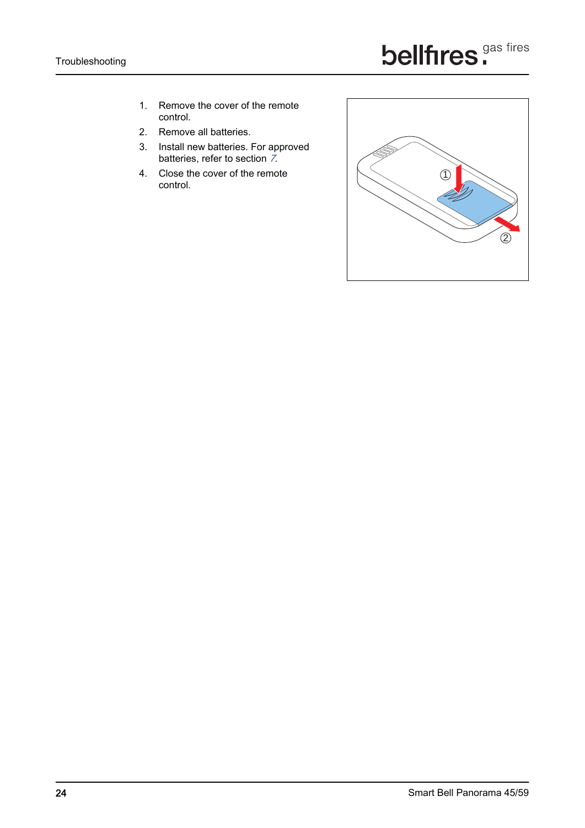- 1. Remove the cover of the remote control.
- 2. Remove all batteries.
- 3. Install new batteries. For approved batteries, refer to section 7.
- 4. Close the cover of the remote control.

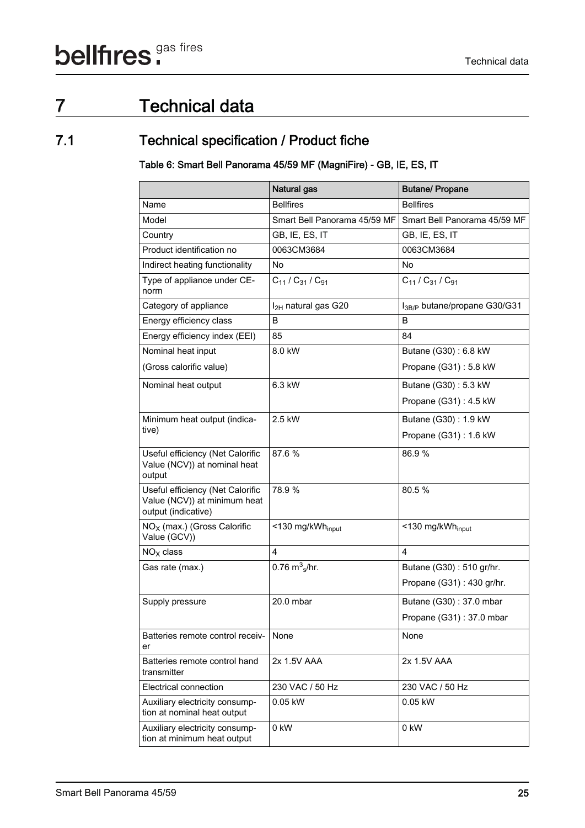# 7 Technical data

## 7.1 Technical specification / Product fiche

Table 6: Smart Bell Panorama 45/59 MF (MagniFire) - GB, IE, ES, IT

|                                                                                         | Natural gas                    | <b>Butane/ Propane</b>                   |
|-----------------------------------------------------------------------------------------|--------------------------------|------------------------------------------|
| Name                                                                                    | <b>Bellfires</b>               | <b>Bellfires</b>                         |
| Model                                                                                   | Smart Bell Panorama 45/59 MF   | Smart Bell Panorama 45/59 MF             |
| Country                                                                                 | GB, IE, ES, IT                 | GB, IE, ES, IT                           |
| Product identification no                                                               | 0063CM3684                     | 0063CM3684                               |
| Indirect heating functionality                                                          | No                             | <b>No</b>                                |
| Type of appliance under CE-<br>norm                                                     | $C_{11}$ / $C_{31}$ / $C_{91}$ | $C_{11}$ / $C_{31}$ / $C_{91}$           |
| Category of appliance                                                                   | $I_{2H}$ natural gas G20       | I <sub>3B/P</sub> butane/propane G30/G31 |
| Energy efficiency class                                                                 | B                              | B                                        |
| Energy efficiency index (EEI)                                                           | 85                             | 84                                       |
| Nominal heat input                                                                      | 8.0 kW                         | Butane (G30): 6.8 kW                     |
| (Gross calorific value)                                                                 |                                | Propane (G31): 5.8 kW                    |
| Nominal heat output                                                                     | 6.3 kW                         | Butane (G30): 5.3 kW                     |
|                                                                                         |                                | Propane (G31): 4.5 kW                    |
| Minimum heat output (indica-                                                            | 2.5 kW                         | Butane (G30): 1.9 kW                     |
| tive)                                                                                   |                                | Propane (G31): 1.6 kW                    |
| Useful efficiency (Net Calorific<br>Value (NCV)) at nominal heat<br>output              | 87.6 %                         | 86.9%                                    |
| Useful efficiency (Net Calorific<br>Value (NCV)) at minimum heat<br>output (indicative) | 78.9 %                         | 80.5 %                                   |
| $NOX$ (max.) (Gross Calorific<br>Value (GCV))                                           | <130 mg/kWh <sub>input</sub>   | <130 mg/kWh <sub>input</sub>             |
| $NOX$ class                                                                             | $\overline{4}$                 | $\overline{4}$                           |
| Gas rate (max.)                                                                         | 0.76 $\rm m_{s}^{3}/\rm hr$ .  | Butane (G30): 510 gr/hr.                 |
|                                                                                         |                                | Propane (G31): 430 gr/hr.                |
| Supply pressure                                                                         | 20.0 mbar                      | Butane (G30): 37.0 mbar                  |
|                                                                                         |                                | Propane $(G31): 37.0$ mbar               |
| Batteries remote control receiv-<br>er                                                  | None                           | None                                     |
| Batteries remote control hand<br>transmitter                                            | 2x 1.5V AAA                    | 2x 1.5V AAA                              |
| <b>Electrical connection</b>                                                            | 230 VAC / 50 Hz                | 230 VAC / 50 Hz                          |
| Auxiliary electricity consump-<br>tion at nominal heat output                           | 0.05 kW                        | 0.05 kW                                  |
| Auxiliary electricity consump-<br>tion at minimum heat output                           | 0 kW                           | 0 kW                                     |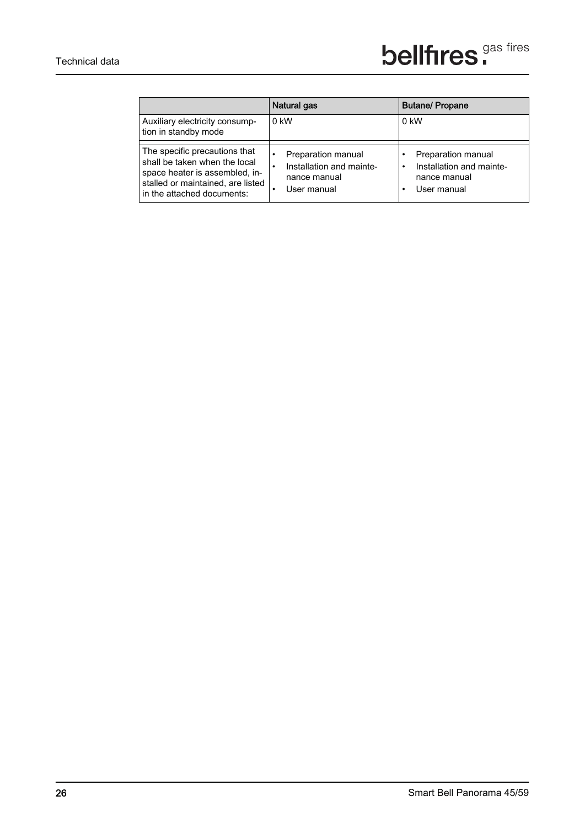|                                                                                                                                                                     | Natural gas                                                                                | <b>Butane/Propane</b>                                                                                   |
|---------------------------------------------------------------------------------------------------------------------------------------------------------------------|--------------------------------------------------------------------------------------------|---------------------------------------------------------------------------------------------------------|
| Auxiliary electricity consump-<br>tion in standby mode                                                                                                              | 0 kW                                                                                       | 0 kW                                                                                                    |
| The specific precautions that<br>shall be taken when the local<br>space heater is assembled, in-<br>stalled or maintained, are listed<br>in the attached documents: | Preparation manual<br>$\bullet$<br>Installation and mainte-<br>nance manual<br>User manual | Preparation manual<br>$\bullet$<br>Installation and mainte-<br>$\bullet$<br>nance manual<br>User manual |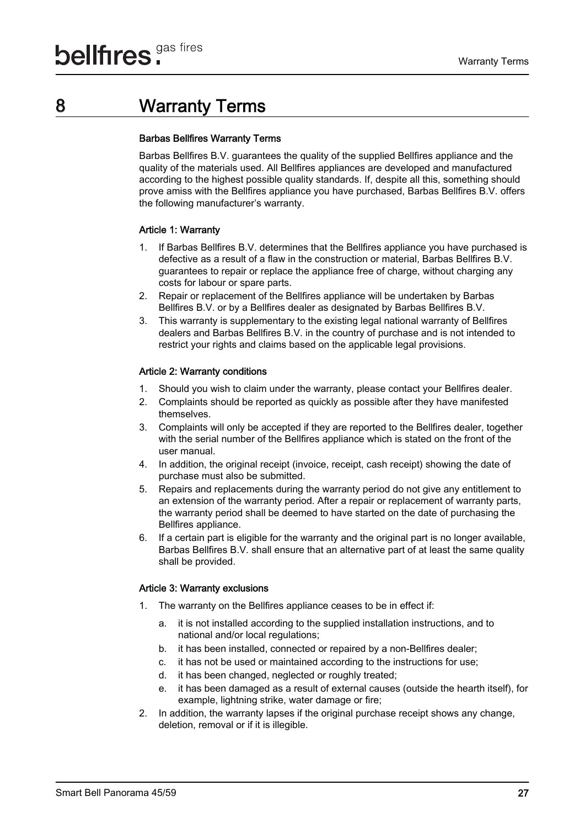## 8 Warranty Terms

#### Barbas Bellfires Warranty Terms

Barbas Bellfires B.V. guarantees the quality of the supplied Bellfires appliance and the quality of the materials used. All Bellfires appliances are developed and manufactured according to the highest possible quality standards. If, despite all this, something should prove amiss with the Bellfires appliance you have purchased, Barbas Bellfires B.V. offers the following manufacturer's warranty.

## Article 1: Warranty

- 1. If Barbas Bellfires B.V. determines that the Bellfires appliance you have purchased is defective as a result of a flaw in the construction or material, Barbas Bellfires B.V. guarantees to repair or replace the appliance free of charge, without charging any costs for labour or spare parts.
- 2. Repair or replacement of the Bellfires appliance will be undertaken by Barbas Bellfires B.V. or by a Bellfires dealer as designated by Barbas Bellfires B.V.
- 3. This warranty is supplementary to the existing legal national warranty of Bellfires dealers and Barbas Bellfires B.V. in the country of purchase and is not intended to restrict your rights and claims based on the applicable legal provisions.

## Article 2: Warranty conditions

- 1. Should you wish to claim under the warranty, please contact your Bellfires dealer.
- 2. Complaints should be reported as quickly as possible after they have manifested themselves.
- 3. Complaints will only be accepted if they are reported to the Bellfires dealer, together with the serial number of the Bellfires appliance which is stated on the front of the user manual.
- 4. In addition, the original receipt (invoice, receipt, cash receipt) showing the date of purchase must also be submitted.
- 5. Repairs and replacements during the warranty period do not give any entitlement to an extension of the warranty period. After a repair or replacement of warranty parts, the warranty period shall be deemed to have started on the date of purchasing the Bellfires appliance.
- 6. If a certain part is eligible for the warranty and the original part is no longer available, Barbas Bellfires B.V. shall ensure that an alternative part of at least the same quality shall be provided.

### Article 3: Warranty exclusions

- 1. The warranty on the Bellfires appliance ceases to be in effect if:
	- a. it is not installed according to the supplied installation instructions, and to national and/or local regulations;
	- b. it has been installed, connected or repaired by a non-Bellfires dealer;
	- c. it has not be used or maintained according to the instructions for use;
	- d. it has been changed, neglected or roughly treated;
	- e. it has been damaged as a result of external causes (outside the hearth itself), for example, lightning strike, water damage or fire;
- 2. In addition, the warranty lapses if the original purchase receipt shows any change, deletion, removal or if it is illegible.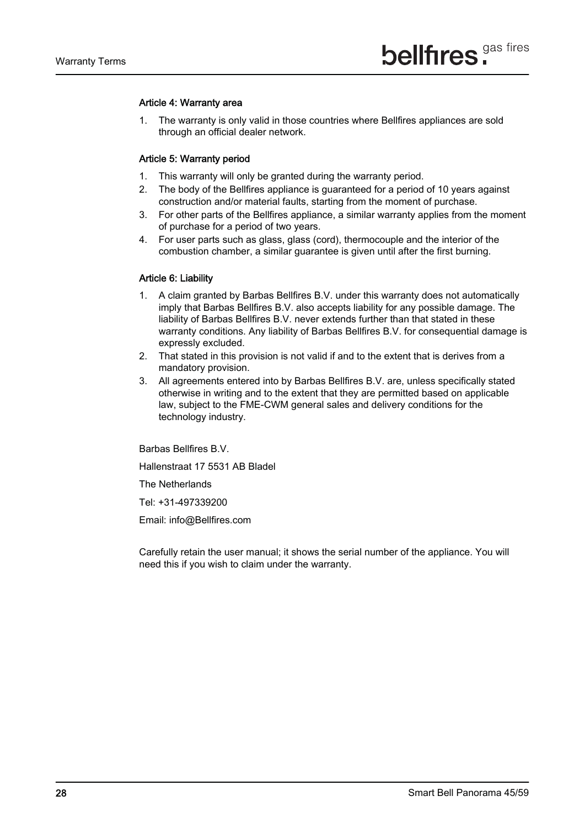#### Article 4: Warranty area

1. The warranty is only valid in those countries where Bellfires appliances are sold through an official dealer network.

#### Article 5: Warranty period

- 1. This warranty will only be granted during the warranty period.
- 2. The body of the Bellfires appliance is guaranteed for a period of 10 years against construction and/or material faults, starting from the moment of purchase.
- 3. For other parts of the Bellfires appliance, a similar warranty applies from the moment of purchase for a period of two years.
- 4. For user parts such as glass, glass (cord), thermocouple and the interior of the combustion chamber, a similar guarantee is given until after the first burning.

### Article 6: Liability

- 1. A claim granted by Barbas Bellfires B.V. under this warranty does not automatically imply that Barbas Bellfires B.V. also accepts liability for any possible damage. The liability of Barbas Bellfires B.V. never extends further than that stated in these warranty conditions. Any liability of Barbas Bellfires B.V. for consequential damage is expressly excluded.
- 2. That stated in this provision is not valid if and to the extent that is derives from a mandatory provision.
- 3. All agreements entered into by Barbas Bellfires B.V. are, unless specifically stated otherwise in writing and to the extent that they are permitted based on applicable law, subject to the FME-CWM general sales and delivery conditions for the technology industry.

Barbas Bellfires B.V.

Hallenstraat 17 5531 AB Bladel

The Netherlands

Tel: +31-497339200

Email: info@Bellfires.com

Carefully retain the user manual; it shows the serial number of the appliance. You will need this if you wish to claim under the warranty.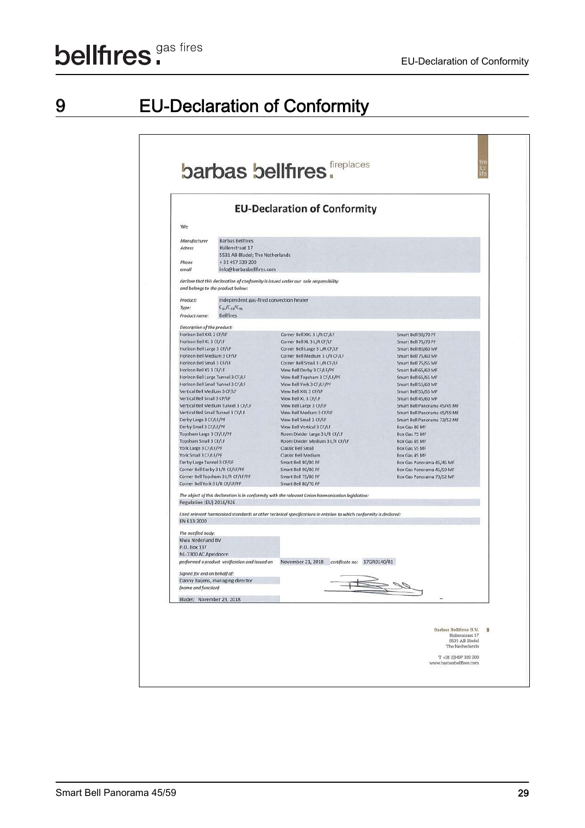# 9 EU-Declaration of Conformity

|                                                             |                                                | barbas bellfires.                                                                                                 |                                            | fire<br>for<br>life |
|-------------------------------------------------------------|------------------------------------------------|-------------------------------------------------------------------------------------------------------------------|--------------------------------------------|---------------------|
|                                                             |                                                | <b>EU-Declaration of Conformity</b>                                                                               |                                            |                     |
| We                                                          |                                                |                                                                                                                   |                                            |                     |
| Manufacturer                                                | <b>Barbas Bellfires</b>                        |                                                                                                                   |                                            |                     |
| Adress                                                      | Hallenstraat 17                                |                                                                                                                   |                                            |                     |
|                                                             | 5531 AB Bladel; The Netherlands                |                                                                                                                   |                                            |                     |
| Phone                                                       | +31 497 339 200                                |                                                                                                                   |                                            |                     |
| email                                                       | info@barbasbellfires.com                       |                                                                                                                   |                                            |                     |
|                                                             | and belongs to the product below:              | declare that this declaration of conformity is issued under our sole responsibility                               |                                            |                     |
| Product:                                                    | Independent gas-fired convection heater        |                                                                                                                   |                                            |                     |
| Type:                                                       | $C_{11}/C_{31}/C_{91}$                         |                                                                                                                   |                                            |                     |
| Product name:                                               | <b>Bellfires</b>                               |                                                                                                                   |                                            |                     |
| Description of the product:                                 |                                                |                                                                                                                   |                                            |                     |
| Horizon Bell XXL 3 CF/LF                                    |                                                | Corner Bell XXL 3 L/R CF/LF                                                                                       | Smart Bell 90/70 PF                        |                     |
| Horizon Bell XL 3 CF/LF                                     |                                                | Corner Bell XL 3 L/R CF/LF                                                                                        | Smart Bell 75/70 PF                        |                     |
| Horizon Bell Large 3 CF/LF                                  |                                                | Corner Bell Large 3 L/R CF/LF                                                                                     | Smart Bell 80/60 MF                        |                     |
| Horizon Bell Medium 3 CF/LF                                 |                                                | Corner Bell Medium 3 L/R CF/LF                                                                                    | Smart Bell 75/60 MF                        |                     |
| Horizon Bell Small 3 CF/LF                                  |                                                | Corner Bell Small 3 L/R CF/LF                                                                                     | Smart Bell 75/55 MF                        |                     |
| Horizon Bell XS 3 CF/LF                                     |                                                | View Bell Derby 3 CF/LF/PF                                                                                        | Smart Bell 65/60 MF                        |                     |
| Horizon Bell Large Tunnel 3 CF/LF                           |                                                | View Bell Topsham 3 CF/LF/PF                                                                                      | Smart Bell 65/55 MF                        |                     |
| Horizon Bell Small Tunnel 3 CF/LF                           |                                                | View Bell York 3 CF/LF/PF                                                                                         | Smart Bell 55/60 MF                        |                     |
| Vertical Bell Medium 3 CF/LF<br>Vertical Bell Small 3 CF/LF |                                                | View Bell XXL 3 CF/LF<br>View Bell XL 3 CF/LF                                                                     | Smart Bell 55/55 MF<br>Smart Bell 45/60 MF |                     |
|                                                             | Vertical Bell Medium Tunnel 3 CF/LF            | View Bell Large 3 CF/LF                                                                                           | Smart Bell Panorama 45/45 MF               |                     |
| Vertical Bell Small Tunnel 3 CF/LF                          |                                                | View Bell Medium 3 CF/LF                                                                                          | Smart Bell Panorama 45/59 MF               |                     |
| Derby Large 3 CF/LF/PF                                      |                                                | View Bell Small 3 CF/LF                                                                                           | Smart Bell Panorama 73/52 MF               |                     |
| Derby Small 3 CF/LF/PF                                      |                                                | View Bell Vertical 3 CF/LF                                                                                        | Box Gas 80 MF                              |                     |
| Topsham Large 3 CF/LF/PF                                    |                                                | Room Divider Large 3 L/R CF/LF                                                                                    | Box Gas 75 MF                              |                     |
| Topsham Small 3 CF/LF                                       |                                                | Room Divider Medium 3 L/R CF/LF                                                                                   | Box Gas 65 MF                              |                     |
| York Large 3 CF/LF/PF                                       |                                                | Classic Bell Small                                                                                                | Box Gas 55 MF                              |                     |
| York Small 3 CF/LF/PF                                       |                                                | Classic Bell Medium                                                                                               | Box Gas 45 MF                              |                     |
| Derby Large Tunnel 3 CF/LF                                  |                                                | Smart Bell 80/80 PF                                                                                               | Box Gas Panorama 45/45 MF                  |                     |
| Corner Bell Derby 3 L/R CF/LF/PF                            |                                                | Smart Bell 90/80 PF                                                                                               | Box Gas Panorama 45/59 MF                  |                     |
| Corner Bell York 3 L/R CF/LF/PF                             | Corner Bell Topsham 3 L/R CF/LF/PF             | Smart Bell 75/80 PF<br>Smart Bell 80/70 PF                                                                        | Box Gas Panorama 73/52 MF                  |                     |
|                                                             |                                                |                                                                                                                   |                                            |                     |
| Regulation (EU) 2016/426                                    |                                                | The object of this declaration is in conformity with the relevant Union harmonisation legislation:                |                                            |                     |
| EN 613:2000                                                 |                                                | Used relevant harmonised standards or other technical specifications in relation to which conformity is declared: |                                            |                     |
| The notified body:                                          |                                                |                                                                                                                   |                                            |                     |
| Kiwa Nederland BV                                           |                                                |                                                                                                                   |                                            |                     |
| P.O. Box 137                                                |                                                |                                                                                                                   |                                            |                     |
| NL-7300 AC Apeldoorn                                        |                                                |                                                                                                                   |                                            |                     |
|                                                             | performed a product verification and issued on | November 21, 2018 certificate no: 17GR0140/01                                                                     |                                            |                     |
| Signed for and on behalf of:                                |                                                |                                                                                                                   |                                            |                     |
|                                                             | Danny Baijens, managing director               |                                                                                                                   |                                            |                     |
| (name and function)                                         |                                                |                                                                                                                   |                                            |                     |
| Bladel; November 23, 2018                                   |                                                |                                                                                                                   |                                            |                     |